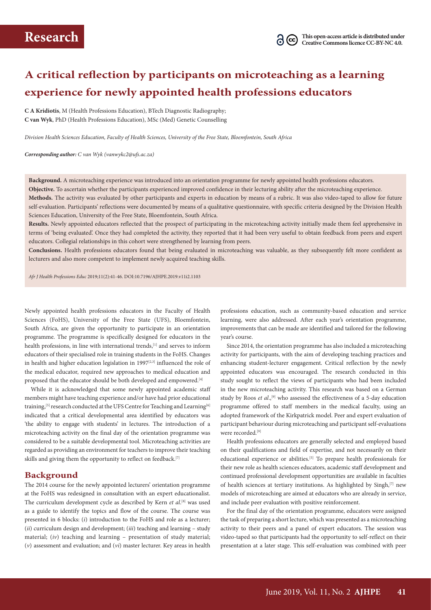### **A critical reflection by participants on microteaching as a learning experience for newly appointed health professions educators**

**C A Kridiotis**, M (Health Professions Education), BTech Diagnostic Radiography; **C van Wyk**, PhD (Health Professions Education), MSc (Med) Genetic Counselling

*Division Health Sciences Education, Faculty of Health Sciences, University of the Free State, Bloemfontein, South Africa* 

*Corresponding author: C van Wyk (vanwykc2@ufs.ac.za)*

**Background.** A microteaching experience was introduced into an orientation programme for newly appointed health professions educators. **Objective.** To ascertain whether the participants experienced improved confidence in their lecturing ability after the microteaching experience. **Methods.** The activity was evaluated by other participants and experts in education by means of a rubric. It was also video-taped to allow for future self-evaluation. Participants' reflections were documented by means of a qualitative questionnaire, with specific criteria designed by the Division Health Sciences Education, University of the Free State, Bloemfontein, South Africa.

**Results.** Newly appointed educators reflected that the prospect of participating in the microteaching activity initially made them feel apprehensive in terms of 'being evaluated'. Once they had completed the activity, they reported that it had been very useful to obtain feedback from peers and expert educators. Collegial relationships in this cohort were strengthened by learning from peers.

**Conclusions.** Health professions educators found that being evaluated in microteaching was valuable, as they subsequently felt more confident as lecturers and also more competent to implement newly acquired teaching skills.

*Afr J Health Professions Educ* 2019;11(2):41-46. DOI:10.7196/AJHPE.2019.v11i2.1103

Newly appointed health professions educators in the Faculty of Health Sciences (FoHS), University of the Free State (UFS), Bloemfontein, South Africa, are given the opportunity to participate in an orientation programme. The programme is specifically designed for educators in the health professions, in line with international trends,<sup>[1]</sup> and serves to inform educators of their specialised role in training students in the FoHS. Changes in health and higher education legislation in 1997 $[2,3]$  influenced the role of the medical educator, required new approaches to medical education and proposed that the educator should be both developed and empowered.<sup>[4]</sup>

While it is acknowledged that some newly appointed academic staff members might have teaching experience and/or have had prior educational training,<sup>[5]</sup> research conducted at the UFS Centre for Teaching and Learning<sup>[6]</sup> indicated that a critical developmental area identified by educators was 'the ability to engage with students' in lectures. The introduction of a microteaching activity on the final day of the orientation programme was considered to be a suitable developmental tool. Microteaching activities are regarded as providing an environment for teachers to improve their teaching skills and giving them the opportunity to reflect on feedback.[7]

#### **Background**

The 2014 course for the newly appointed lecturers' orientation programme at the FoHS was redesigned in consultation with an expert educationalist. The curriculum development cycle as described by Kern *et al.*<sup>[8]</sup> was used as a guide to identify the topics and flow of the course. The course was presented in 6 blocks: (*i*) introduction to the FoHS and role as a lecturer; (*ii*) curriculum design and development; (*iii*) teaching and learning – study material; (*iv*) teaching and learning – presentation of study material; (*v*) assessment and evaluation; and (*vi*) master lecturer. Key areas in health

professions education, such as community-based education and service learning, were also addressed. After each year's orientation programme, improvements that can be made are identified and tailored for the following year's course.

Since 2014, the orientation programme has also included a microteaching activity for participants, with the aim of developing teaching practices and enhancing student-lecturer engagement. Critical reflection by the newly appointed educators was encouraged. The research conducted in this study sought to reflect the views of participants who had been included in the new microteaching activity. This research was based on a German study by Roos et al.,<sup>[9]</sup> who assessed the effectiveness of a 5-day education programme offered to staff members in the medical faculty, using an adopted framework of the Kirkpatrick model. Peer and expert evaluation of participant behaviour during microteaching and participant self-evaluations were recorded.<sup>[9]</sup>

Health professions educators are generally selected and employed based on their qualifications and field of expertise, and not necessarily on their educational experience or abilities.<sup>[5]</sup> To prepare health professionals for their new role as health sciences educators, academic staff development and continued professional development opportunities are available in faculties of health sciences at tertiary institutions. As highlighted by Singh,<sup>[7]</sup> new models of microteaching are aimed at educators who are already in service, and include peer evaluation with positive reinforcement.

For the final day of the orientation programme, educators were assigned the task of preparing a short lecture, which was presented as a microteaching activity to their peers and a panel of expert educators. The session was video-taped so that participants had the opportunity to self-reflect on their presentation at a later stage. This self-evaluation was combined with peer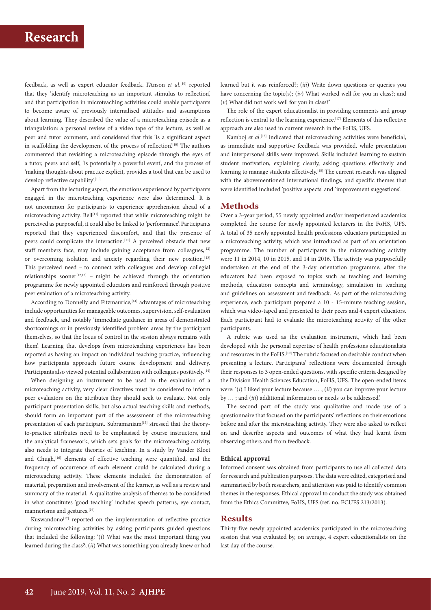feedback, as well as expert educator feedback. I'Anson *et al*. [10] reported that they 'identify microteaching as an important stimulus to reflection', and that participation in microteaching activities could enable participants to become aware of previously internalised attitudes and assumptions about learning. They described the value of a microteaching episode as a triangulation: a personal review of a video tape of the lecture, as well as peer and tutor comment, and considered that this 'is a significant aspect in scaffolding the development of the process of reflection'.<sup>[10]</sup> The authors commented that revisiting a microteaching episode through the eyes of a tutor, peers and self, 'is potentially a powerful event', and the process of 'making thoughts about practice explicit, provides a tool that can be used to develop reflective capability'.[10]

Apart from the lecturing aspect, the emotions experienced by participants engaged in the microteaching experience were also determined. It is not uncommon for participants to experience apprehension ahead of a microteaching activity. Bell<sup>[11]</sup> reported that while microteaching might be perceived as purposeful, it could also be linked to 'performance'. Participants reported that they experienced discomfort, and that the presence of peers could complicate the interaction.<sup>[11]</sup> A perceived obstacle that new staff members face, may include gaining acceptance from colleagues, [12] or overcoming isolation and anxiety regarding their new position.[13] This perceived need – to connect with colleagues and develop collegial  $relationships$  sooner<sup>[12,13]</sup> – might be achieved through the orientation programme for newly appointed educators and reinforced through positive peer evaluation of a microteaching activity.

According to Donnelly and Fitzmaurice,<sup>[14]</sup> advantages of microteaching include opportunities for manageable outcomes, supervision, self-evaluation and feedback, and notably 'immediate guidance in areas of demonstrated shortcomings or in previously identified problem areas by the participant themselves, so that the locus of control in the session always remains with them'. Learning that develops from microteaching experiences has been reported as having an impact on individual teaching practice, influencing how participants approach future course development and delivery. Participants also viewed potential collaboration with colleagues positively.<sup>[14]</sup>

When designing an instrument to be used in the evaluation of a microteaching activity, very clear directives must be considered to inform peer evaluators on the attributes they should seek to evaluate. Not only participant presentation skills, but also actual teaching skills and methods, should form an important part of the assessment of the microteaching presentation of each participant. Subramaniam<sup>[15]</sup> stressed that the theoryto-practice attributes need to be emphasised by course instructors, and the analytical framework, which sets goals for the microteaching activity, also needs to integrate theories of teaching. In a study by Vander Kloet and Chugh,<sup>[16]</sup> elements of effective teaching were quantified, and the frequency of occurrence of each element could be calculated during a microteaching activity. These elements included the demonstration of material, preparation and involvement of the learner, as well as a review and summary of the material. A qualitative analysis of themes to be considered in what constitutes 'good teaching' includes speech patterns, eye contact, mannerisms and gestures.<sup>[16]</sup>

Kuswandono<sup>[17]</sup> reported on the implementation of reflective practice during microteaching activities by asking participants guided questions that included the following: '(*i*) What was the most important thing you learned during the class?; (*ii*) What was something you already knew or had

learned but it was reinforced?; (*iii*) Write down questions or queries you have concerning the topic(s); (*iv*) What worked well for you in class?; and (*v*) What did not work well for you in class?'

The role of the expert educationalist in providing comments and group reflection is central to the learning experience.<sup>[17]</sup> Elements of this reflective approach are also used in current research in the FoHS, UFS.

Kamboj et al.<sup>[18]</sup> indicated that microteaching activities were beneficial, as immediate and supportive feedback was provided, while presentation and interpersonal skills were improved. Skills included learning to sustain student motivation, explaining clearly, asking questions effectively and learning to manage students effectively.<sup>[18]</sup> The current research was aligned with the abovementioned international findings, and specific themes that were identified included 'positive aspects' and 'improvement suggestions'.

### **Methods**

Over a 3-year period, 55 newly appointed and/or inexperienced academics completed the course for newly appointed lecturers in the FoHS, UFS. A total of 35 newly appointed health professions educators participated in a microteaching activity, which was introduced as part of an orientation programme. The number of participants in the microteaching activity were 11 in 2014, 10 in 2015, and 14 in 2016. The activity was purposefully undertaken at the end of the 3-day orientation programme, after the educators had been exposed to topics such as teaching and learning methods, education concepts and terminology, simulation in teaching and guidelines on assessment and feedback. As part of the microteaching experience, each participant prepared a 10 - 15-minute teaching session, which was video-taped and presented to their peers and 4 expert educators. Each participant had to evaluate the microteaching activity of the other participants.

A rubric was used as the evaluation instrument, which had been developed with the personal expertise of health professions educationalists and resources in the FoHS.<sup>[19]</sup> The rubric focused on desirable conduct when presenting a lecture. Participants' reflections were documented through their responses to 3 open-ended questions, with specific criteria designed by the Division Health Sciences Education, FoHS, UFS. The open-ended items were: '(*i*) I liked your lecture because … ; (*ii*) you can improve your lecture by … ; and (*iii*) additional information or needs to be addressed.'

The second part of the study was qualitative and made use of a questionnaire that focused on the participants' reflections on their emotions before and after the microteaching activity. They were also asked to reflect on and describe aspects and outcomes of what they had learnt from observing others and from feedback.

#### **Ethical approval**

Informed consent was obtained from participants to use all collected data for research and publication purposes. The data were edited, categorised and summarised by both researchers, and attention was paid to identify common themes in the responses. Ethical approval to conduct the study was obtained from the Ethics Committee, FoHS, UFS (ref. no. ECUFS 213/2013).

### **Results**

Thirty-five newly appointed academics participated in the microteaching session that was evaluated by, on average, 4 expert educationalists on the last day of the course.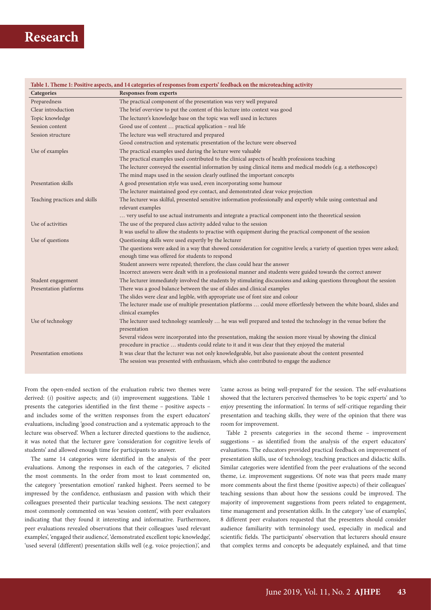| Table 1. Theme 1: Positive aspects, and 14 categories of responses from experts' feedback on the microteaching activity |                                                                                                                                            |  |  |
|-------------------------------------------------------------------------------------------------------------------------|--------------------------------------------------------------------------------------------------------------------------------------------|--|--|
| Categories                                                                                                              | <b>Responses from experts</b>                                                                                                              |  |  |
| Preparedness                                                                                                            | The practical component of the presentation was very well prepared                                                                         |  |  |
| Clear introduction                                                                                                      | The brief overview to put the content of this lecture into context was good                                                                |  |  |
| Topic knowledge                                                                                                         | The lecturer's knowledge base on the topic was well used in lectures                                                                       |  |  |
| Session content                                                                                                         | Good use of content  practical application - real life                                                                                     |  |  |
| Session structure                                                                                                       | The lecture was well structured and prepared                                                                                               |  |  |
|                                                                                                                         | Good construction and systematic presentation of the lecture were observed                                                                 |  |  |
| Use of examples                                                                                                         | The practical examples used during the lecture were valuable                                                                               |  |  |
|                                                                                                                         | The practical examples used contributed to the clinical aspects of health professions teaching                                             |  |  |
|                                                                                                                         | The lecturer conveyed the essential information by using clinical items and medical models (e.g. a stethoscope)                            |  |  |
|                                                                                                                         | The mind maps used in the session clearly outlined the important concepts                                                                  |  |  |
| Presentation skills                                                                                                     | A good presentation style was used, even incorporating some humour                                                                         |  |  |
|                                                                                                                         | The lecturer maintained good eye contact, and demonstrated clear voice projection                                                          |  |  |
| Teaching practices and skills                                                                                           | The lecturer was skilful, presented sensitive information professionally and expertly while using contextual and                           |  |  |
|                                                                                                                         | relevant examples                                                                                                                          |  |  |
|                                                                                                                         | very useful to use actual instruments and integrate a practical component into the theoretical session                                     |  |  |
| Use of activities                                                                                                       | The use of the prepared class activity added value to the session                                                                          |  |  |
|                                                                                                                         | It was useful to allow the students to practise with equipment during the practical component of the session                               |  |  |
| Use of questions                                                                                                        | Questioning skills were used expertly by the lecturer                                                                                      |  |  |
|                                                                                                                         | The questions were asked in a way that showed consideration for cognitive levels; a variety of question types were asked;                  |  |  |
|                                                                                                                         | enough time was offered for students to respond                                                                                            |  |  |
|                                                                                                                         | Student answers were repeated; therefore, the class could hear the answer                                                                  |  |  |
|                                                                                                                         | Incorrect answers were dealt with in a professional manner and students were guided towards the correct answer                             |  |  |
| Student engagement                                                                                                      | The lecturer immediately involved the students by stimulating discussions and asking questions throughout the session                      |  |  |
| Presentation platforms                                                                                                  | There was a good balance between the use of slides and clinical examples                                                                   |  |  |
|                                                                                                                         | The slides were clear and legible, with appropriate use of font size and colour                                                            |  |  |
|                                                                                                                         | The lecturer made use of multiple presentation platforms  could move effortlessly between the white board, slides and<br>clinical examples |  |  |
| Use of technology                                                                                                       | The lecturer used technology seamlessly  he was well prepared and tested the technology in the venue before the                            |  |  |
|                                                                                                                         | presentation                                                                                                                               |  |  |
|                                                                                                                         | Several videos were incorporated into the presentation, making the session more visual by showing the clinical                             |  |  |
|                                                                                                                         | procedure in practice  students could relate to it and it was clear that they enjoyed the material                                         |  |  |
| Presentation emotions                                                                                                   | It was clear that the lecturer was not only knowledgeable, but also passionate about the content presented                                 |  |  |
|                                                                                                                         | The session was presented with enthusiasm, which also contributed to engage the audience                                                   |  |  |
|                                                                                                                         |                                                                                                                                            |  |  |

From the open-ended section of the evaluation rubric two themes were derived: (*i*) positive aspects; and (*ii*) improvement suggestions. Table 1 presents the categories identified in the first theme – positive aspects – and includes some of the written responses from the expert educators' evaluations, including 'good construction and a systematic approach to the lecture was observed'. When a lecturer directed questions to the audience, it was noted that the lecturer gave 'consideration for cognitive levels of students' and allowed enough time for participants to answer.

The same 14 categories were identified in the analysis of the peer evaluations. Among the responses in each of the categories, 7 elicited the most comments. In the order from most to least commented on, the category 'presentation emotion' ranked highest. Peers seemed to be impressed by the confidence, enthusiasm and passion with which their colleagues presented their particular teaching sessions. The next category most commonly commented on was 'session content', with peer evaluators indicating that they found it interesting and informative. Furthermore, peer evaluations revealed observations that their colleagues 'used relevant examples', 'engaged their audience', 'demonstrated excellent topic knowledge', 'used several (different) presentation skills well (e.g. voice projection)', and

'came across as being well-prepared' for the session. The self-evaluations showed that the lecturers perceived themselves 'to be topic experts' and 'to enjoy presenting the information'. In terms of self-critique regarding their presentation and teaching skills, they were of the opinion that there was room for improvement.

Table 2 presents categories in the second theme – improvement suggestions – as identified from the analysis of the expert educators' evaluations. The educators provided practical feedback on improvement of presentation skills, use of technology, teaching practices and didactic skills. Similar categories were identified from the peer evaluations of the second theme, i.e. improvement suggestions. Of note was that peers made many more comments about the first theme (positive aspects) of their colleagues' teaching sessions than about how the sessions could be improved. The majority of improvement suggestions from peers related to engagement, time management and presentation skills. In the category 'use of examples', 8 different peer evaluators requested that the presenters should consider audience familiarity with terminology used, especially in medical and scientific fields. The participants' observation that lecturers should ensure that complex terms and concepts be adequately explained, and that time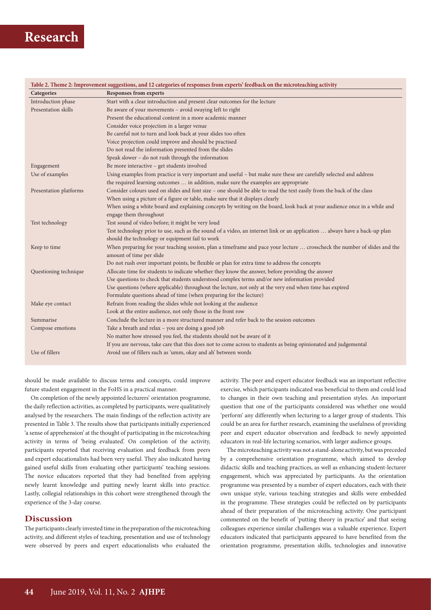| Table 2. Theme 2: Improvement suggestions, and 12 categories of responses from experts' feedback on the microteaching activity |                                                                                                                                                       |  |  |
|--------------------------------------------------------------------------------------------------------------------------------|-------------------------------------------------------------------------------------------------------------------------------------------------------|--|--|
| Categories                                                                                                                     | <b>Responses from experts</b>                                                                                                                         |  |  |
| Introduction phase                                                                                                             | Start with a clear introduction and present clear outcomes for the lecture                                                                            |  |  |
| Presentation skills                                                                                                            | Be aware of your movements - avoid swaying left to right                                                                                              |  |  |
|                                                                                                                                | Present the educational content in a more academic manner                                                                                             |  |  |
|                                                                                                                                | Consider voice projection in a larger venue                                                                                                           |  |  |
|                                                                                                                                | Be careful not to turn and look back at your slides too often                                                                                         |  |  |
|                                                                                                                                | Voice projection could improve and should be practised                                                                                                |  |  |
|                                                                                                                                | Do not read the information presented from the slides                                                                                                 |  |  |
|                                                                                                                                | Speak slower - do not rush through the information                                                                                                    |  |  |
| Engagement                                                                                                                     | Be more interactive - get students involved                                                                                                           |  |  |
| Use of examples                                                                                                                | Using examples from practice is very important and useful - but make sure these are carefully selected and address                                    |  |  |
|                                                                                                                                | the required learning outcomes  in addition, make sure the examples are appropriate                                                                   |  |  |
| Presentation platforms                                                                                                         | Consider colours used on slides and font size - one should be able to read the text easily from the back of the class                                 |  |  |
|                                                                                                                                | When using a picture of a figure or table, make sure that it displays clearly                                                                         |  |  |
|                                                                                                                                | When using a white board and explaining concepts by writing on the board, look back at your audience once in a while and                              |  |  |
|                                                                                                                                | engage them throughout                                                                                                                                |  |  |
| Test technology                                                                                                                | Test sound of video before; it might be very loud                                                                                                     |  |  |
|                                                                                                                                | Test technology prior to use, such as the sound of a video, an internet link or an application  always have a back-up plan                            |  |  |
|                                                                                                                                | should the technology or equipment fail to work                                                                                                       |  |  |
| Keep to time                                                                                                                   | When preparing for your teaching session, plan a timeframe and pace your lecture  crosscheck the number of slides and the<br>amount of time per slide |  |  |
|                                                                                                                                | Do not rush over important points, be flexible or plan for extra time to address the concepts                                                         |  |  |
| Questioning technique                                                                                                          | Allocate time for students to indicate whether they know the answer, before providing the answer                                                      |  |  |
|                                                                                                                                | Use questions to check that students understood complex terms and/or new information provided                                                         |  |  |
|                                                                                                                                | Use questions (where applicable) throughout the lecture, not only at the very end when time has expired                                               |  |  |
|                                                                                                                                | Formulate questions ahead of time (when preparing for the lecture)                                                                                    |  |  |
| Make eye contact                                                                                                               | Refrain from reading the slides while not looking at the audience                                                                                     |  |  |
|                                                                                                                                | Look at the entire audience, not only those in the front row                                                                                          |  |  |
| Summarise                                                                                                                      | Conclude the lecture in a more structured manner and refer back to the session outcomes                                                               |  |  |
| Compose emotions                                                                                                               | Take a breath and relax - you are doing a good job                                                                                                    |  |  |
|                                                                                                                                | No matter how stressed you feel, the students should not be aware of it                                                                               |  |  |
|                                                                                                                                | If you are nervous, take care that this does not to come across to students as being opinionated and judgemental                                      |  |  |
| Use of fillers                                                                                                                 | Avoid use of fillers such as 'umm, okay and ah' between words                                                                                         |  |  |

should be made available to discuss terms and concepts, could improve future student engagement in the FoHS in a practical manner.

On completion of the newly appointed lecturers' orientation programme, the daily reflection activities, as completed by participants, were qualitatively analysed by the researchers. The main findings of the reflection activity are presented in Table 3. The results show that participants initially experienced 'a sense of apprehension' at the thought of participating in the microteaching activity in terms of 'being evaluated'. On completion of the activity, participants reported that receiving evaluation and feedback from peers and expert educationalists had been very useful. They also indicated having gained useful skills from evaluating other participants' teaching sessions. The novice educators reported that they had benefited from applying newly learnt knowledge and putting newly learnt skills into practice. Lastly, collegial relationships in this cohort were strengthened through the experience of the 3-day course.

### **Discussion**

The participants clearly invested time in the preparation of the microteaching activity, and different styles of teaching, presentation and use of technology were observed by peers and expert educationalists who evaluated the activity. The peer and expert educator feedback was an important reflective exercise, which participants indicated was beneficial to them and could lead to changes in their own teaching and presentation styles. An important question that one of the participants considered was whether one would 'perform' any differently when lecturing to a larger group of students. This could be an area for further research, examining the usefulness of providing peer and expert educator observation and feedback to newly appointed educators in real-life lecturing scenarios, with larger audience groups.

The microteaching activity was not a stand-alone activity, but was preceded by a comprehensive orientation programme, which aimed to develop didactic skills and teaching practices, as well as enhancing student-lecturer engagement, which was appreciated by participants. As the orientation programme was presented by a number of expert educators, each with their own unique style, various teaching strategies and skills were embedded in the programme. These strategies could be reflected on by participants ahead of their preparation of the microteaching activity. One participant commented on the benefit of 'putting theory in practice' and that seeing colleagues experience similar challenges was a valuable experience. Expert educators indicated that participants appeared to have benefited from the orientation programme, presentation skills, technologies and innovative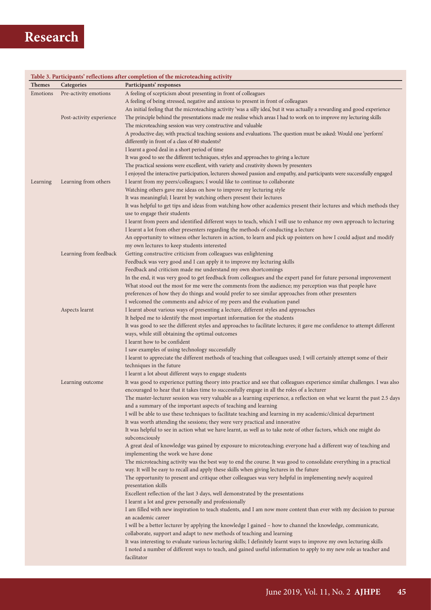| Table 3. Participants' reflections after completion of the microteaching activity |                          |                                                                                                                                                                    |  |
|-----------------------------------------------------------------------------------|--------------------------|--------------------------------------------------------------------------------------------------------------------------------------------------------------------|--|
| <b>Themes</b>                                                                     | Categories               | Participants' responses                                                                                                                                            |  |
| Emotions                                                                          | Pre-activity emotions    | A feeling of scepticism about presenting in front of colleagues                                                                                                    |  |
|                                                                                   |                          | A feeling of being stressed, negative and anxious to present in front of colleagues                                                                                |  |
|                                                                                   |                          | An initial feeling that the microteaching activity 'was a silly idea', but it was actually a rewarding and good experience                                         |  |
|                                                                                   | Post-activity experience | The principle behind the presentations made me realise which areas I had to work on to improve my lecturing skills                                                 |  |
|                                                                                   |                          | The microteaching session was very constructive and valuable                                                                                                       |  |
|                                                                                   |                          | A productive day, with practical teaching sessions and evaluations. The question must be asked: Would one 'perform'                                                |  |
|                                                                                   |                          | differently in front of a class of 80 students?                                                                                                                    |  |
|                                                                                   |                          | I learnt a good deal in a short period of time                                                                                                                     |  |
|                                                                                   |                          | It was good to see the different techniques, styles and approaches to giving a lecture                                                                             |  |
|                                                                                   |                          | The practical sessions were excellent, with variety and creativity shown by presenters                                                                             |  |
|                                                                                   |                          | I enjoyed the interactive participation, lecturers showed passion and empathy, and participants were successfully engaged                                          |  |
| Learning                                                                          | Learning from others     | I learnt from my peers/colleagues; I would like to continue to collaborate                                                                                         |  |
|                                                                                   |                          | Watching others gave me ideas on how to improve my lecturing style                                                                                                 |  |
|                                                                                   |                          | It was meaningful; I learnt by watching others present their lectures                                                                                              |  |
|                                                                                   |                          | It was helpful to get tips and ideas from watching how other academics present their lectures and which methods they                                               |  |
|                                                                                   |                          | use to engage their students                                                                                                                                       |  |
|                                                                                   |                          | I learnt from peers and identified different ways to teach, which I will use to enhance my own approach to lecturing                                               |  |
|                                                                                   |                          | I learnt a lot from other presenters regarding the methods of conducting a lecture                                                                                 |  |
|                                                                                   |                          | An opportunity to witness other lecturers in action, to learn and pick up pointers on how I could adjust and modify<br>my own lectures to keep students interested |  |
|                                                                                   | Learning from feedback   | Getting constructive criticism from colleagues was enlightening                                                                                                    |  |
|                                                                                   |                          | Feedback was very good and I can apply it to improve my lecturing skills                                                                                           |  |
|                                                                                   |                          | Feedback and criticism made me understand my own shortcomings                                                                                                      |  |
|                                                                                   |                          | In the end, it was very good to get feedback from colleagues and the expert panel for future personal improvement                                                  |  |
|                                                                                   |                          | What stood out the most for me were the comments from the audience; my perception was that people have                                                             |  |
|                                                                                   |                          | preferences of how they do things and would prefer to see similar approaches from other presenters                                                                 |  |
|                                                                                   |                          | I welcomed the comments and advice of my peers and the evaluation panel                                                                                            |  |
|                                                                                   | Aspects learnt           | I learnt about various ways of presenting a lecture, different styles and approaches                                                                               |  |
|                                                                                   |                          | It helped me to identify the most important information for the students                                                                                           |  |
|                                                                                   |                          | It was good to see the different styles and approaches to facilitate lectures; it gave me confidence to attempt different                                          |  |
|                                                                                   |                          | ways, while still obtaining the optimal outcomes                                                                                                                   |  |
|                                                                                   |                          | I learnt how to be confident                                                                                                                                       |  |
|                                                                                   |                          | I saw examples of using technology successfully                                                                                                                    |  |
|                                                                                   |                          | I learnt to appreciate the different methods of teaching that colleagues used; I will certainly attempt some of their                                              |  |
|                                                                                   |                          | techniques in the future                                                                                                                                           |  |
|                                                                                   |                          | I learnt a lot about different ways to engage students                                                                                                             |  |
|                                                                                   | Learning outcome         | It was good to experience putting theory into practice and see that colleagues experience similar challenges. I was also                                           |  |
|                                                                                   |                          | encouraged to hear that it takes time to successfully engage in all the roles of a lecturer                                                                        |  |
|                                                                                   |                          | The master-lecturer session was very valuable as a learning experience, a reflection on what we learnt the past 2.5 days                                           |  |
|                                                                                   |                          | and a summary of the important aspects of teaching and learning                                                                                                    |  |
|                                                                                   |                          | I will be able to use these techniques to facilitate teaching and learning in my academic/clinical department                                                      |  |
|                                                                                   |                          | It was worth attending the sessions; they were very practical and innovative                                                                                       |  |
|                                                                                   |                          | It was helpful to see in action what we have learnt, as well as to take note of other factors, which one might do<br>subconsciously                                |  |
|                                                                                   |                          | A great deal of knowledge was gained by exposure to microteaching; everyone had a different way of teaching and                                                    |  |
|                                                                                   |                          | implementing the work we have done                                                                                                                                 |  |
|                                                                                   |                          | The microteaching activity was the best way to end the course. It was good to consolidate everything in a practical                                                |  |
|                                                                                   |                          | way. It will be easy to recall and apply these skills when giving lectures in the future                                                                           |  |
|                                                                                   |                          | The opportunity to present and critique other colleagues was very helpful in implementing newly acquired                                                           |  |
|                                                                                   |                          | presentation skills                                                                                                                                                |  |
|                                                                                   |                          | Excellent reflection of the last 3 days, well demonstrated by the presentations                                                                                    |  |
|                                                                                   |                          | I learnt a lot and grew personally and professionally                                                                                                              |  |
|                                                                                   |                          | I am filled with new inspiration to teach students, and I am now more content than ever with my decision to pursue                                                 |  |
|                                                                                   |                          | an academic career                                                                                                                                                 |  |
|                                                                                   |                          | I will be a better lecturer by applying the knowledge I gained - how to channel the knowledge, communicate,                                                        |  |
|                                                                                   |                          | collaborate, support and adapt to new methods of teaching and learning                                                                                             |  |
|                                                                                   |                          | It was interesting to evaluate various lecturing skills; I definitely learnt ways to improve my own lecturing skills                                               |  |
|                                                                                   |                          | I noted a number of different ways to teach, and gained useful information to apply to my new role as teacher and                                                  |  |
|                                                                                   |                          | facilitator                                                                                                                                                        |  |
|                                                                                   |                          |                                                                                                                                                                    |  |